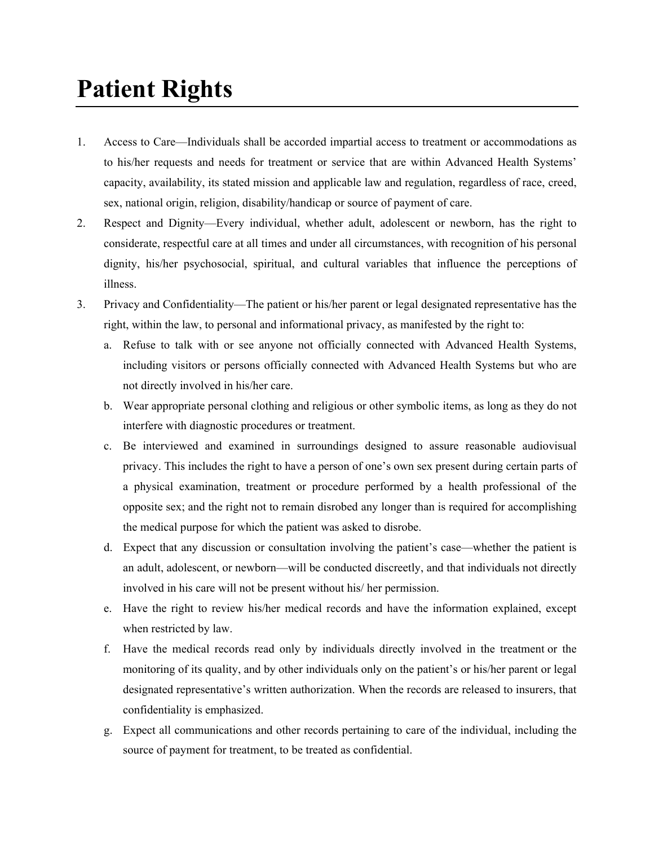## **Patient Rights**

- 1. Access to Care—Individuals shall be accorded impartial access to treatment or accommodations as to his/her requests and needs for treatment or service that are within Advanced Health Systems' capacity, availability, its stated mission and applicable law and regulation, regardless of race, creed, sex, national origin, religion, disability/handicap or source of payment of care.
- 2. Respect and Dignity—Every individual, whether adult, adolescent or newborn, has the right to considerate, respectful care at all times and under all circumstances, with recognition of his personal dignity, his/her psychosocial, spiritual, and cultural variables that influence the perceptions of illness.
- 3. Privacy and Confidentiality—The patient or his/her parent or legal designated representative has the right, within the law, to personal and informational privacy, as manifested by the right to:
	- a. Refuse to talk with or see anyone not officially connected with Advanced Health Systems, including visitors or persons officially connected with Advanced Health Systems but who are not directly involved in his/her care.
	- b. Wear appropriate personal clothing and religious or other symbolic items, as long as they do not interfere with diagnostic procedures or treatment.
	- c. Be interviewed and examined in surroundings designed to assure reasonable audiovisual privacy. This includes the right to have a person of one's own sex present during certain parts of a physical examination, treatment or procedure performed by a health professional of the opposite sex; and the right not to remain disrobed any longer than is required for accomplishing the medical purpose for which the patient was asked to disrobe.
	- d. Expect that any discussion or consultation involving the patient's case—whether the patient is an adult, adolescent, or newborn—will be conducted discreetly, and that individuals not directly involved in his care will not be present without his/ her permission.
	- e. Have the right to review his/her medical records and have the information explained, except when restricted by law.
	- f. Have the medical records read only by individuals directly involved in the treatment or the monitoring of its quality, and by other individuals only on the patient's or his/her parent or legal designated representative's written authorization. When the records are released to insurers, that confidentiality is emphasized.
	- g. Expect all communications and other records pertaining to care of the individual, including the source of payment for treatment, to be treated as confidential.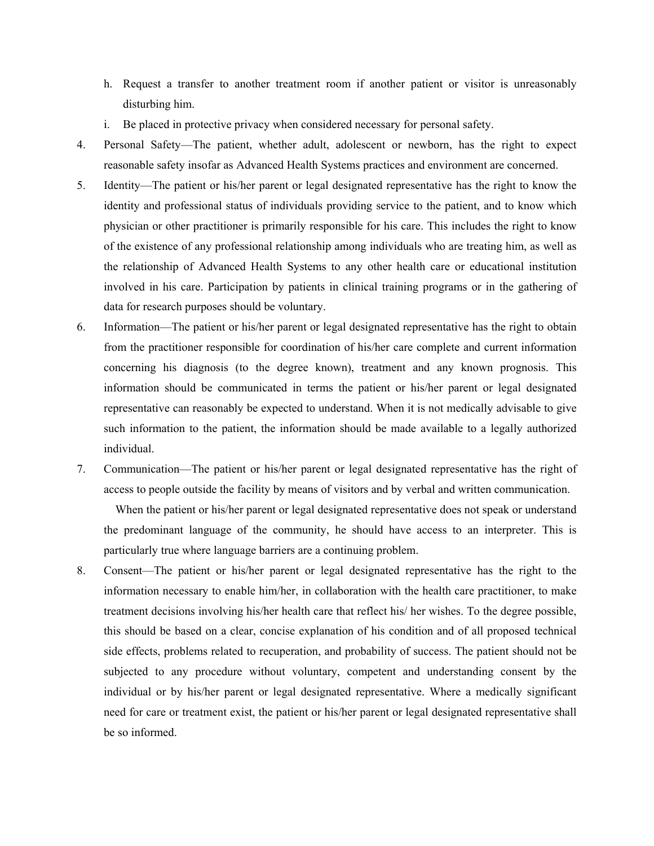- h. Request a transfer to another treatment room if another patient or visitor is unreasonably disturbing him.
- i. Be placed in protective privacy when considered necessary for personal safety.
- 4. Personal Safety—The patient, whether adult, adolescent or newborn, has the right to expect reasonable safety insofar as Advanced Health Systems practices and environment are concerned.
- 5. Identity—The patient or his/her parent or legal designated representative has the right to know the identity and professional status of individuals providing service to the patient, and to know which physician or other practitioner is primarily responsible for his care. This includes the right to know of the existence of any professional relationship among individuals who are treating him, as well as the relationship of Advanced Health Systems to any other health care or educational institution involved in his care. Participation by patients in clinical training programs or in the gathering of data for research purposes should be voluntary.
- 6. Information—The patient or his/her parent or legal designated representative has the right to obtain from the practitioner responsible for coordination of his/her care complete and current information concerning his diagnosis (to the degree known), treatment and any known prognosis. This information should be communicated in terms the patient or his/her parent or legal designated representative can reasonably be expected to understand. When it is not medically advisable to give such information to the patient, the information should be made available to a legally authorized individual.
- 7. Communication—The patient or his/her parent or legal designated representative has the right of access to people outside the facility by means of visitors and by verbal and written communication.

 When the patient or his/her parent or legal designated representative does not speak or understand the predominant language of the community, he should have access to an interpreter. This is particularly true where language barriers are a continuing problem.

8. Consent—The patient or his/her parent or legal designated representative has the right to the information necessary to enable him/her, in collaboration with the health care practitioner, to make treatment decisions involving his/her health care that reflect his/ her wishes. To the degree possible, this should be based on a clear, concise explanation of his condition and of all proposed technical side effects, problems related to recuperation, and probability of success. The patient should not be subjected to any procedure without voluntary, competent and understanding consent by the individual or by his/her parent or legal designated representative. Where a medically significant need for care or treatment exist, the patient or his/her parent or legal designated representative shall be so informed.